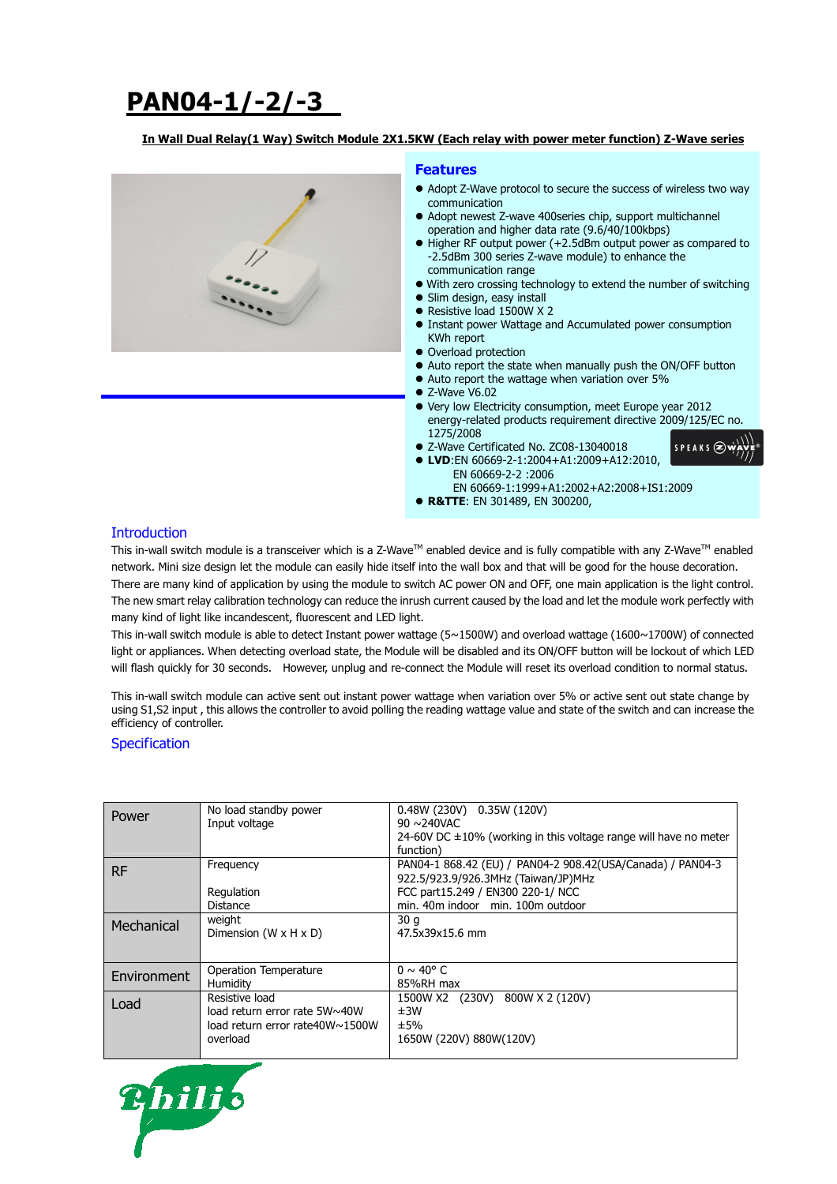# **PAN04-1/-2/-3**

#### **In Wall Dual Relay(1 Way) Switch Module 2X1.5KW (Each relay with power meter function) Z-Wave series**



#### **Features**

- Adopt Z-Wave protocol to secure the success of wireless two way communication
- Adopt newest Z-wave 400series chip, support multichannel operation and higher data rate (9.6/40/100kbps)
- Higher RF output power (+2.5dBm output power as compared to -2.5dBm 300 series Z-wave module) to enhance the communication range
- With zero crossing technology to extend the number of switching
- Slim design, easy install
- Resistive load 1500W X 2
- **Instant power Wattage and Accumulated power consumption** KWh report
- Overload protection
- Auto report the state when manually push the ON/OFF button
- Auto report the wattage when variation over 5%
- $\bullet$  7-Wave V6.02
- Very low Electricity consumption, meet Europe year 2012 energy-related products requirement directive 2009/125/EC no. 1275/2008

 $SPFAKS$  $\bigotimes$ 

- Z-Wave Certificated No. ZC08-13040018
- **LVD**:EN 60669-2-1:2004+A1:2009+A12:2010, EN 60669-2-2 :2006 EN 60669-1:1999+A1:2002+A2:2008+IS1:2009
- **R&TTE**: EN 301489, EN 300200,
- 

#### **Introduction**

This in-wall switch module is a transceiver which is a Z-Wave<sup>TM</sup> enabled device and is fully compatible with any Z-Wave<sup>TM</sup> enabled network. Mini size design let the module can easily hide itself into the wall box and that will be good for the house decoration. There are many kind of application by using the module to switch AC power ON and OFF, one main application is the light control. The new smart relay calibration technology can reduce the inrush current caused by the load and let the module work perfectly with many kind of light like incandescent, fluorescent and LED light.

This in-wall switch module is able to detect Instant power wattage (5~1500W) and overload wattage (1600~1700W) of connected light or appliances. When detecting overload state, the Module will be disabled and its ON/OFF button will be lockout of which LED will flash quickly for 30 seconds. However, unplug and re-connect the Module will reset its overload condition to normal status.

This in-wall switch module can active sent out instant power wattage when variation over 5% or active sent out state change by using S1,S2 input , this allows the controller to avoid polling the reading wattage value and state of the switch and can increase the efficiency of controller.

#### **Specification**

| Power              | No load standby power<br>Input voltage                                                         | $0.48W(230V)$ $0.35W(120V)$<br>$90 \sim 240$ VAC<br>24-60V DC $\pm$ 10% (working in this voltage range will have no meter<br>function)                                       |
|--------------------|------------------------------------------------------------------------------------------------|------------------------------------------------------------------------------------------------------------------------------------------------------------------------------|
| RF.                | Frequency<br>Regulation<br>Distance                                                            | PAN04-1 868.42 (EU) / PAN04-2 908.42 (USA/Canada) / PAN04-3<br>922.5/923.9/926.3MHz (Taiwan/JP)MHz<br>FCC part15.249 / EN300 220-1/ NCC<br>min. 40m indoor min. 100m outdoor |
| Mechanical         | weight<br>Dimension $(W \times H \times D)$                                                    | 30q<br>47.5x39x15.6 mm                                                                                                                                                       |
| <b>Environment</b> | Operation Temperature<br>Humidity                                                              | $0 \sim 40^{\circ}$ C<br>85%RH max                                                                                                                                           |
| Load               | Resistive load<br>load return error rate 5W~40W<br>load return error rate40W~1500W<br>overload | 1500W X2 (230V) 800W X 2 (120V)<br>±3W<br>±5%<br>1650W (220V) 880W(120V)                                                                                                     |